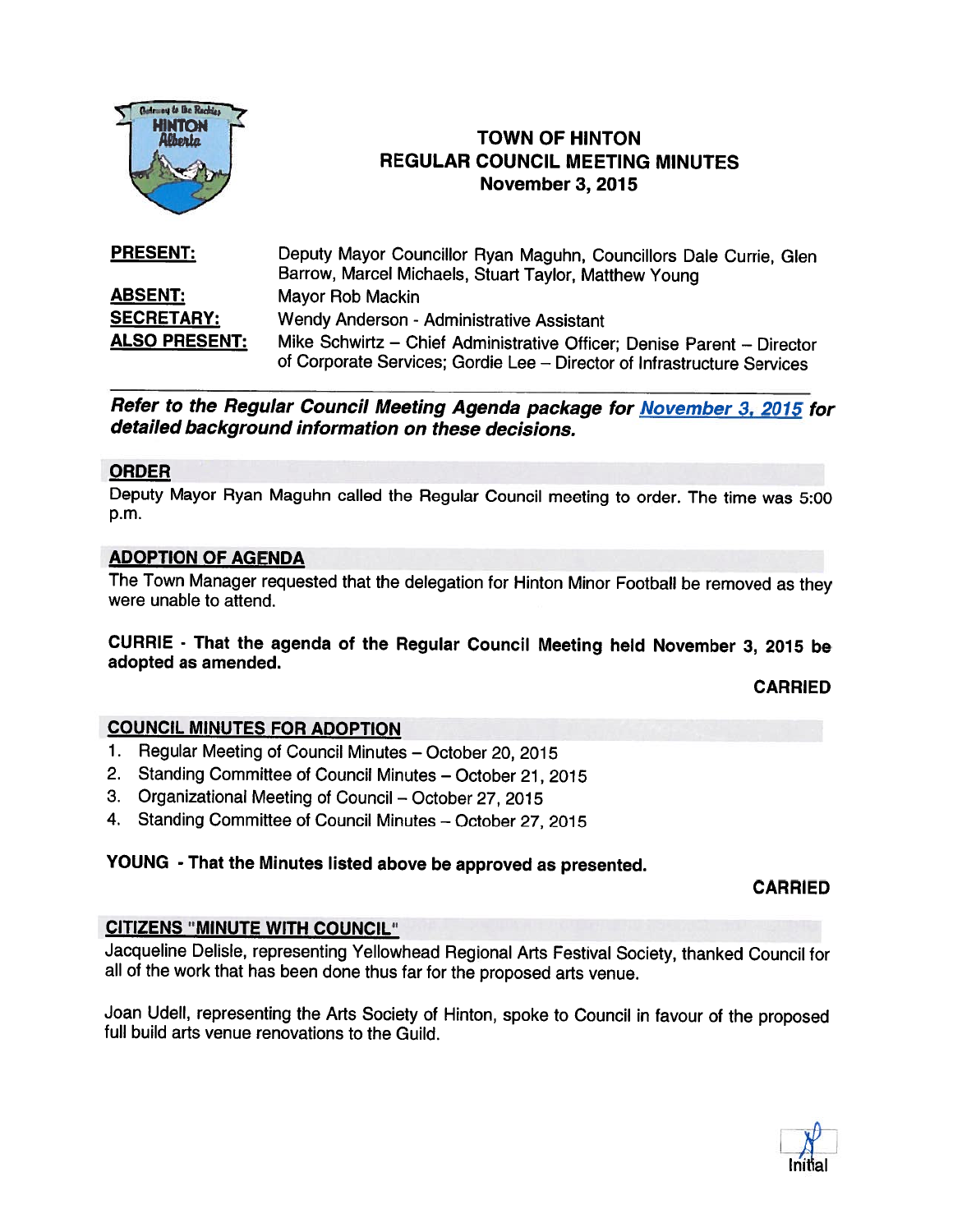

# **TOWN OF HINTON** REGULAR COUNCIL MEETING MINUTES November 3, 2015

| <b>PRESENT:</b>      | Deputy Mayor Councillor Ryan Maguhn, Councillors Dale Currie, Glen<br>Barrow, Marcel Michaels, Stuart Taylor, Matthew Young                       |
|----------------------|---------------------------------------------------------------------------------------------------------------------------------------------------|
| <b>ABSENT:</b>       | Mayor Rob Mackin                                                                                                                                  |
| <b>SECRETARY:</b>    | Wendy Anderson - Administrative Assistant                                                                                                         |
| <b>ALSO PRESENT:</b> | Mike Schwirtz - Chief Administrative Officer; Denise Parent - Director<br>of Corporate Services; Gordie Lee – Director of Infrastructure Services |

Refer to the Regular Council Meeting Agenda package for November 3, 2015 for detailed background information on these decisions.

### ORDER

Deputy Mayor Ryan Maguhn called the Regular Council meeting to order. The time was 5:00 p.m.

### ADOPTION OF AGENDA

The Town Manager requested that the delegation for Hinton Minor Football be removed as they were unable to attend.

CURRIE - That the agenda of the Regular Council Meeting held November 3, <sup>2015</sup> be adopted as amended.

CARRIED

#### COUNCIL MINUTES FOR ADOPTION

- 1. Regular Meeting of Council Minutes October 20, 2015
- 2. Standing Committee of Council Minutes October 21, 2015
- 3. Organizational Meeting of Council October 27, 2015
- 4. Standing Committee of Council Minutes October 27, 2015

### YOUNG - That the Minutes listed above be approved as presented.

CARRIED

#### CITIZENS "MINUTE WITH COUNCIL"

Jacqueline Delisle, representing Yellowhead Regional Arts Festival Society, thanked Council for all of the work that has been done thus far for the proposed arts venue.

Joan Udell, representing the Arts Society of Hinton, spoke to Council in favour of the proposed full build arts venue renovations to the Guild.

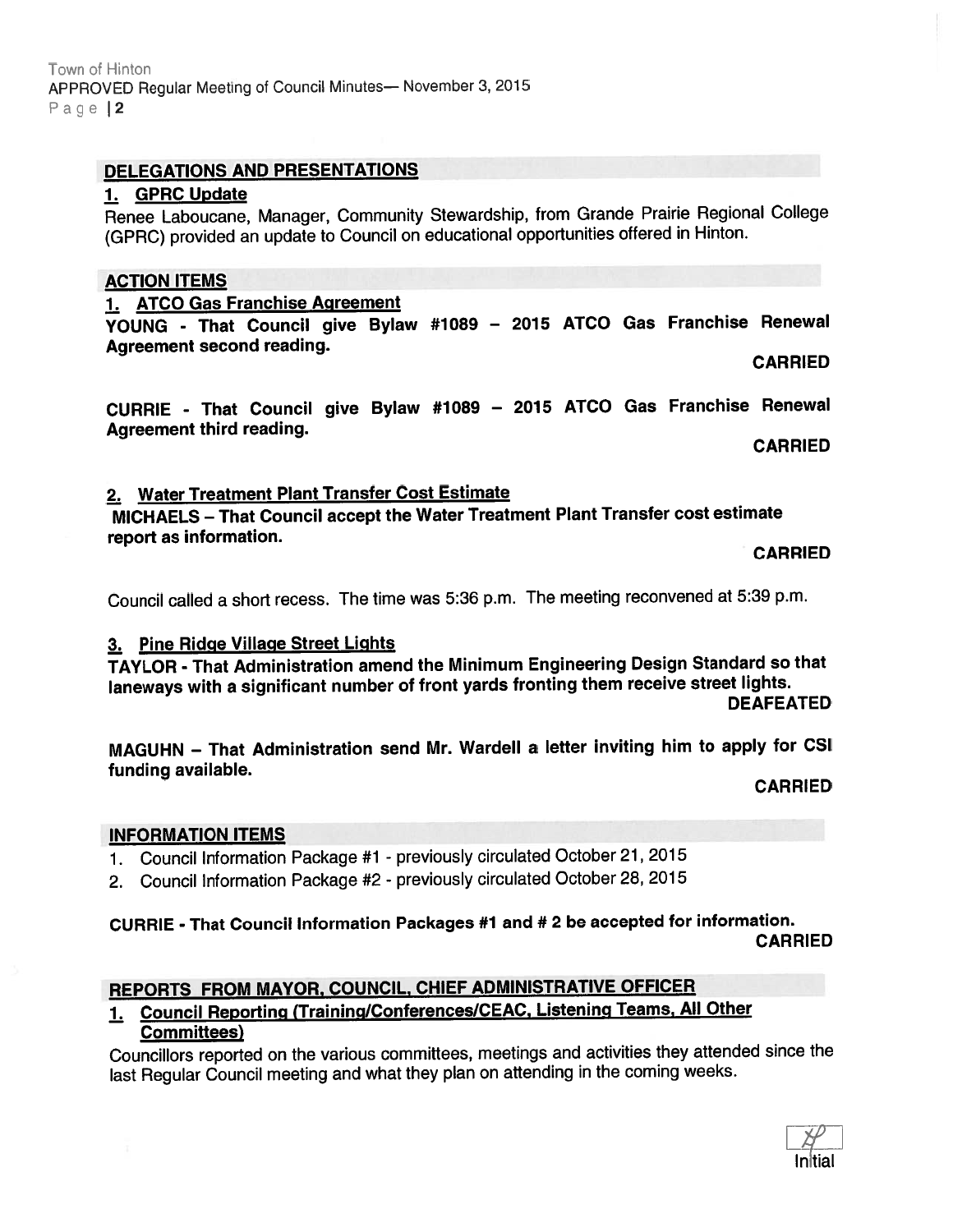# DELEGATIONS AND PRESENTATIONS

#### 1. GPRC Update

Renee Laboucane, Manager, Community Stewardship, from Grande Prairie Regional College (GPRC) provided an update to Council on educational opportunities offered in Hinton.

# ACTION ITEMS

### 1. ATCO Gas Franchise Agreement

YOUNG - That Council <sup>g</sup>ive Bylaw #1089 — <sup>2015</sup> ATCO Gas Franchise Renewal Agreement second reading. CARRIED

CURRIE - That Council <sup>g</sup>ive Bylaw #1089 — <sup>2075</sup> ATCO Gas Franchise Renewal Agreement third reading.

CARRIED

### 2. Water Treatment Plant Transfer Cost Estimate

MICHAELS — That Council accep<sup>t</sup> the Water Treatment Plant Transfer cost estimate repor<sup>t</sup> as information. CARRIED

Council called <sup>a</sup> short recess. The time was 5:36 p.m. The meeting reconvened at 5:39 p.m.

### 3. Pine Ridge Village Street Lights

TAYLOR - That Administration amend the Minimum Engineering Design Standard so that laneways with a significant number of front yards fronting them receive street lights. **DEAFEATED** 

MAGUHN — That Administration send Mr. Wardell <sup>a</sup> letter inviting him to apply for CSI funding available.

CARRIED

#### INFORMATION ITEMS

- 1. Council Information Package #1 previously circulated October 21, 2015
- 2. Council Information Package #2 previously circulated October 28, <sup>2015</sup>

### CURRIE - That Council Information Packages #1 and # <sup>2</sup> be accepted for information. CARRIED

# REPORTS FROM MAYOR, COUNCIL, CHIEF ADMINISTRATIVE OFFICER

### 1. Council Reporting (Training/Conferences/CEAC, Listening Teams, All Other Committees)

Councillors reported on the various committees, meetings and activities they attended since the last Regular Council meeting and what they <sup>p</sup>lan on attending in the coming weeks.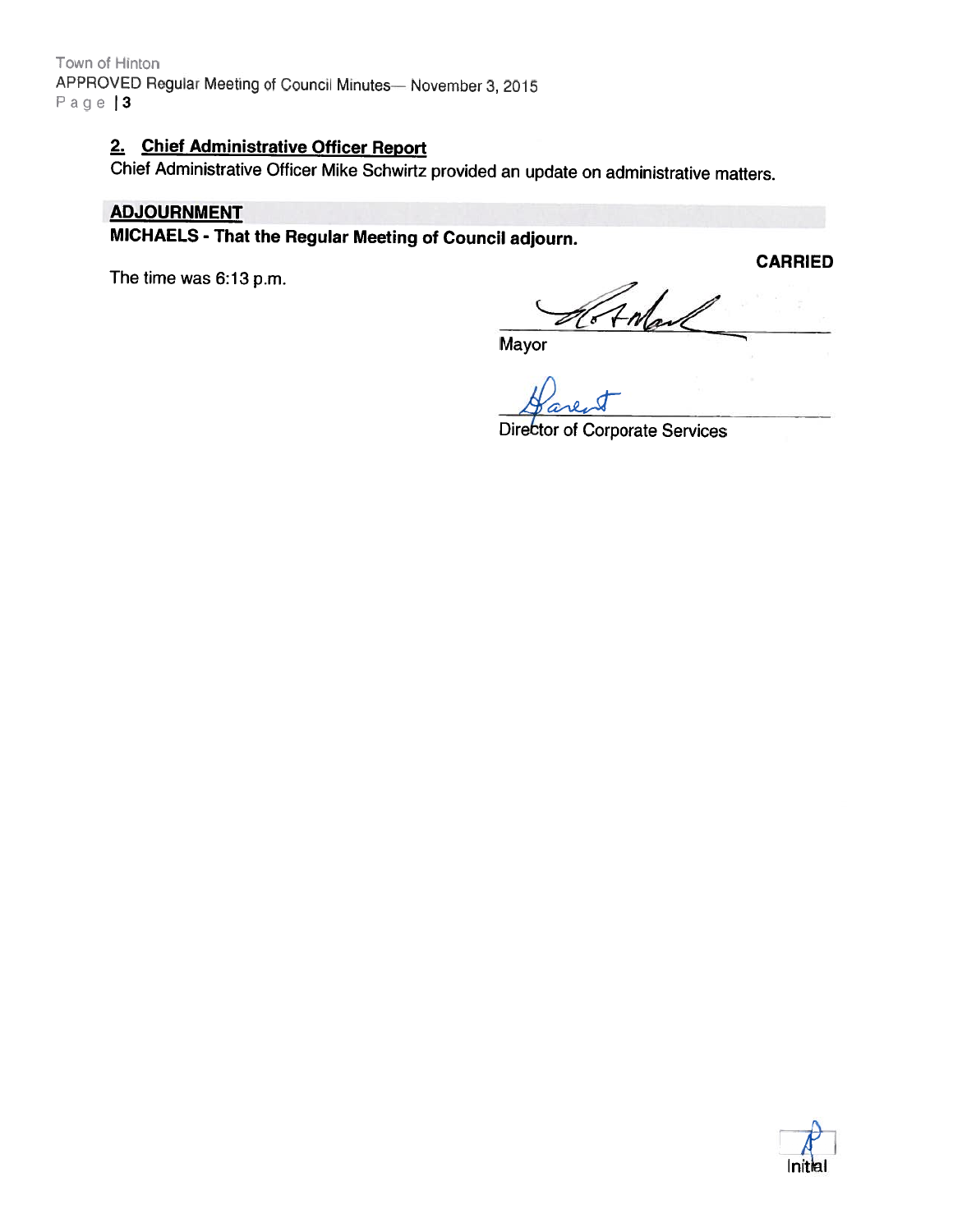Town of Hinton APPROVED Regular Meeting of Council Minutes— November 3, 2015 Page | 3

# 2. Chief Administrative Officer Report

Chief Administrative Officer Mike Schwirtz provided an update on administrative matters.

#### ADJOURNMENT

MICHAELS - That the Regular Meeting of Council adjourn.

The time was 6:13 p.m.

CARRIED

**Mayor** 

Director of Corporate Services

Antan